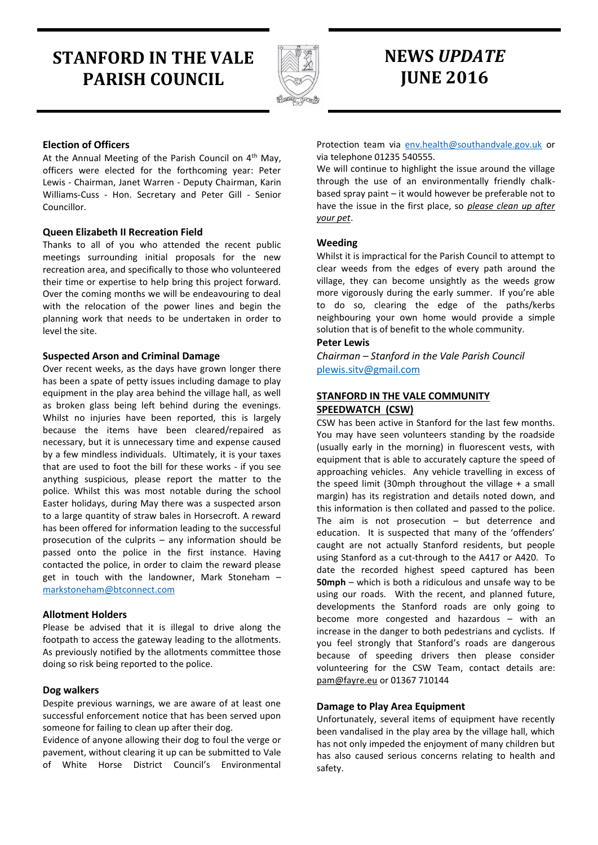# **STANFORD IN THE VALE PARISH COUNCIL**



# **NEWS** *UPDATE* **JUNE 2016**

# **Election of Officers**

At the Annual Meeting of the Parish Council on  $4<sup>th</sup>$  May, officers were elected for the forthcoming year: Peter Lewis - Chairman, Janet Warren - Deputy Chairman, Karin Williams-Cuss - Hon. Secretary and Peter Gill - Senior Councillor.

# **Queen Elizabeth II Recreation Field**

Thanks to all of you who attended the recent public meetings surrounding initial proposals for the new recreation area, and specifically to those who volunteered their time or expertise to help bring this project forward. Over the coming months we will be endeavouring to deal with the relocation of the power lines and begin the planning work that needs to be undertaken in order to level the site.

# **Suspected Arson and Criminal Damage**

Over recent weeks, as the days have grown longer there has been a spate of petty issues including damage to play equipment in the play area behind the village hall, as well as broken glass being left behind during the evenings. Whilst no injuries have been reported, this is largely because the items have been cleared/repaired as necessary, but it is unnecessary time and expense caused by a few mindless individuals. Ultimately, it is your taxes that are used to foot the bill for these works - if you see anything suspicious, please report the matter to the police. Whilst this was most notable during the school Easter holidays, during May there was a suspected arson to a large quantity of straw bales in Horsecroft. A reward has been offered for information leading to the successful prosecution of the culprits – any information should be passed onto the police in the first instance. Having contacted the police, in order to claim the reward please get in touch with the landowner, Mark Stoneham – [markstoneham@btconnect.com](mailto:markstoneham@btconnect.com)

# **Allotment Holders**

Please be advised that it is illegal to drive along the footpath to access the gateway leading to the allotments. As previously notified by the allotments committee those doing so risk being reported to the police.

# **Dog walkers**

Despite previous warnings, we are aware of at least one successful enforcement notice that has been served upon someone for failing to clean up after their dog.

Evidence of anyone allowing their dog to foul the verge or pavement, without clearing it up can be submitted to Vale of White Horse District Council's Environmental

Protection team via [env.health@southandvale.gov.uk](mailto:env.health@southandvale.gov.uk) or via telephone 01235 540555.

We will continue to highlight the issue around the village through the use of an environmentally friendly chalkbased spray paint – it would however be preferable not to have the issue in the first place, so *please clean up after your pet*.

# **Weeding**

Whilst it is impractical for the Parish Council to attempt to clear weeds from the edges of every path around the village, they can become unsightly as the weeds grow more vigorously during the early summer. If you're able to do so, clearing the edge of the paths/kerbs neighbouring your own home would provide a simple solution that is of benefit to the whole community.

# **Peter Lewis**

*Chairman – Stanford in the Vale Parish Council* [plewis.sitv@gmail.com](mailto:plewis.sitv@gmail.com)

# **STANFORD IN THE VALE COMMUNITY SPEEDWATCH (CSW)**

CSW has been active in Stanford for the last few months. You may have seen volunteers standing by the roadside (usually early in the morning) in fluorescent vests, with equipment that is able to accurately capture the speed of approaching vehicles. Any vehicle travelling in excess of the speed limit (30mph throughout the village + a small margin) has its registration and details noted down, and this information is then collated and passed to the police. The aim is not prosecution – but deterrence and education. It is suspected that many of the 'offenders' caught are not actually Stanford residents, but people using Stanford as a cut-through to the A417 or A420. To date the recorded highest speed captured has been **50mph** – which is both a ridiculous and unsafe way to be using our roads. With the recent, and planned future, developments the Stanford roads are only going to become more congested and hazardous – with an increase in the danger to both pedestrians and cyclists. If you feel strongly that Stanford's roads are dangerous because of speeding drivers then please consider volunteering for the CSW Team, contact details are: [pam@fayre.eu](mailto:pam@fayre.eu) or 01367 710144

# **Damage to Play Area Equipment**

Unfortunately, several items of equipment have recently been vandalised in the play area by the village hall, which has not only impeded the enjoyment of many children but has also caused serious concerns relating to health and safety.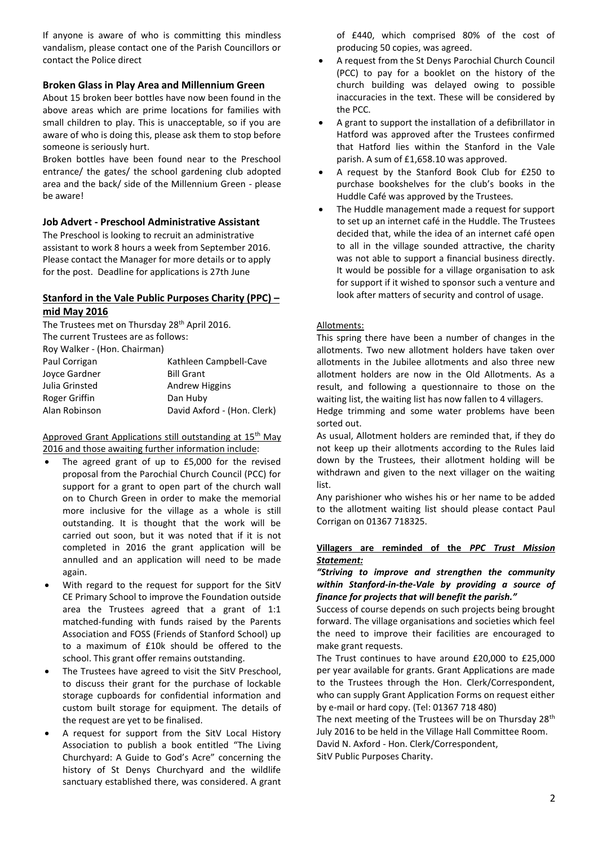If anyone is aware of who is committing this mindless vandalism, please contact one of the Parish Councillors or contact the Police direct

## **Broken Glass in Play Area and Millennium Green**

About 15 broken beer bottles have now been found in the above areas which are prime locations for families with small children to play. This is unacceptable, so if you are aware of who is doing this, please ask them to stop before someone is seriously hurt.

Broken bottles have been found near to the Preschool entrance/ the gates/ the school gardening club adopted area and the back/ side of the Millennium Green - please be aware!

## **Job Advert - Preschool Administrative Assistant**

The Preschool is looking to recruit an administrative assistant to work 8 hours a week from September 2016. Please contact the Manager for more details or to apply for the post. Deadline for applications is 27th June

# **Stanford in the Vale Public Purposes Charity (PPC) – mid May 2016**

| The Trustees met on Thursday 28 <sup>th</sup> April 2016. |                             |  |  |
|-----------------------------------------------------------|-----------------------------|--|--|
| The current Trustees are as follows:                      |                             |  |  |
| Roy Walker - (Hon. Chairman)                              |                             |  |  |
| Paul Corrigan                                             | Kathleen Campbell-Cave      |  |  |
| Joyce Gardner                                             | <b>Bill Grant</b>           |  |  |
| Julia Grinsted                                            | <b>Andrew Higgins</b>       |  |  |
| Roger Griffin                                             | Dan Huby                    |  |  |
| Alan Robinson                                             | David Axford - (Hon. Clerk) |  |  |

Approved Grant Applications still outstanding at 15<sup>th</sup> May 2016 and those awaiting further information include:

- The agreed grant of up to £5,000 for the revised proposal from the Parochial Church Council (PCC) for support for a grant to open part of the church wall on to Church Green in order to make the memorial more inclusive for the village as a whole is still outstanding. It is thought that the work will be carried out soon, but it was noted that if it is not completed in 2016 the grant application will be annulled and an application will need to be made again.
- With regard to the request for support for the SitV CE Primary School to improve the Foundation outside area the Trustees agreed that a grant of 1:1 matched-funding with funds raised by the Parents Association and FOSS (Friends of Stanford School) up to a maximum of £10k should be offered to the school. This grant offer remains outstanding.
- The Trustees have agreed to visit the SitV Preschool, to discuss their grant for the purchase of lockable storage cupboards for confidential information and custom built storage for equipment. The details of the request are yet to be finalised.
- A request for support from the SitV Local History Association to publish a book entitled "The Living Churchyard: A Guide to God's Acre" concerning the history of St Denys Churchyard and the wildlife sanctuary established there, was considered. A grant

of £440, which comprised 80% of the cost of producing 50 copies, was agreed.

- A request from the St Denys Parochial Church Council (PCC) to pay for a booklet on the history of the church building was delayed owing to possible inaccuracies in the text. These will be considered by the PCC.
- A grant to support the installation of a defibrillator in Hatford was approved after the Trustees confirmed that Hatford lies within the Stanford in the Vale parish. A sum of £1,658.10 was approved.
- A request by the Stanford Book Club for £250 to purchase bookshelves for the club's books in the Huddle Café was approved by the Trustees.
- The Huddle management made a request for support to set up an internet café in the Huddle. The Trustees decided that, while the idea of an internet café open to all in the village sounded attractive, the charity was not able to support a financial business directly. It would be possible for a village organisation to ask for support if it wished to sponsor such a venture and look after matters of security and control of usage.

## Allotments:

This spring there have been a number of changes in the allotments. Two new allotment holders have taken over allotments in the Jubilee allotments and also three new allotment holders are now in the Old Allotments. As a result, and following a questionnaire to those on the waiting list, the waiting list has now fallen to 4 villagers.

Hedge trimming and some water problems have been sorted out.

As usual, Allotment holders are reminded that, if they do not keep up their allotments according to the Rules laid down by the Trustees, their allotment holding will be withdrawn and given to the next villager on the waiting list.

Any parishioner who wishes his or her name to be added to the allotment waiting list should please contact Paul Corrigan on 01367 718325.

#### **Villagers are reminded of the** *PPC Trust Mission Statement:*

*"Striving to improve and strengthen the community within Stanford-in-the-Vale by providing a source of finance for projects that will benefit the parish."*

Success of course depends on such projects being brought forward. The village organisations and societies which feel the need to improve their facilities are encouraged to make grant requests.

The Trust continues to have around £20,000 to £25,000 per year available for grants. Grant Applications are made to the Trustees through the Hon. Clerk/Correspondent, who can supply Grant Application Forms on request either by e-mail or hard copy. (Tel: 01367 718 480)

The next meeting of the Trustees will be on Thursday 28<sup>th</sup> July 2016 to be held in the Village Hall Committee Room. David N. Axford - Hon. Clerk/Correspondent, SitV Public Purposes Charity.